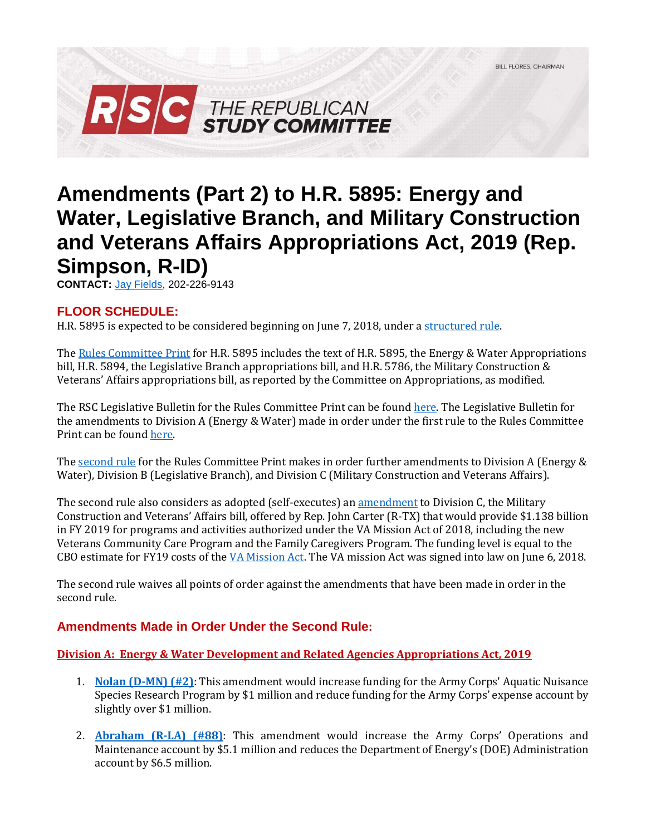

# **Amendments (Part 2) to H.R. 5895: Energy and Water, Legislative Branch, and Military Construction and Veterans Affairs Appropriations Act, 2019 (Rep. Simpson, R-ID)**

**CONTACT:** [Jay Fields,](mailto:jay.fields@mail.house.gov) 202-226-9143

## **FLOOR SCHEDULE:**

H.R. 5895 is expected to be considered beginning on June 7, 2018, under [a structured rule.](https://rules.house.gov/bill/115/hr-5895)

Th[e Rules Committee Print](https://docs.house.gov/billsthisweek/20180604/BILLS-%20115HR5895HR5894HR5786-RCP115-71.pdf) for H.R. 5895 includes the text of H.R. 5895, the Energy & Water Appropriations bill, H.R. 5894, the Legislative Branch appropriations bill, and H.R. 5786, the Military Construction & Veterans' Affairs appropriations bill, as reported by the Committee on Appropriations, as modified.

The RSC Legislative Bulletin for the Rules Committee Print can be foun[d here.](https://gallery.mailchimp.com/d4254037a343b683d142111e0/files/7623f7d3-ebe1-4b78-9723-45025e9193b0/LB_Minibus_EW_Leg_MilCon_FY19_FINAL.pdf) The Legislative Bulletin for the amendments to Division A (Energy & Water) made in order under the first rule to the Rules Committee Print can be foun[d here.](https://gallery.mailchimp.com/d4254037a343b683d142111e0/files/52e112e5-bb2e-49eb-ac40-e2b144135d0e/LB_Minibus_Amendments_Part_1_E_W_FINAL.pdf)

Th[e second rule](https://rules.house.gov/sites/republicans.rules.house.gov/files/Rule_HR%205895HR%203.pdf) for the Rules Committee Print makes in order further amendments to Division A (Energy & Water), Division B (Legislative Branch), and Division C (Military Construction and Veterans Affairs).

The second rule also considers as adopted (self-executes) an [amendment](https://amendments-rules.house.gov/amendments/CARTER_011_xml65181628132813.pdf) to Division C, the Military Construction and Veterans' Affairs bill, offered by Rep. John Carter (R-TX) that would provide \$1.138 billion in FY 2019 for programs and activities authorized under the VA Mission Act of 2018, including the new Veterans Community Care Program and the Family Caregivers Program. The funding level is equal to the CBO estimate for FY19 costs of the [VA Mission Act.](https://gallery.mailchimp.com/d4254037a343b683d142111e0/files/60e808aa-85af-4c6f-8bf2-531534597f76/Legislative_Bulletin_H.R._5674_VA_MISSION_ACT_May_16_2018.01.pdf) The VA mission Act was signed into law on June 6, 2018.

The second rule waives all points of order against the amendments that have been made in order in the second rule.

## **Amendments Made in Order Under the Second Rule:**

### **Division A: Energy & Water Development and Related Agencies Appropriations Act, 2019**

- 1. **[Nolan \(D-MN\) \(#2\)](https://amendments-rules.house.gov/amendments/NOLAN_103_xml531181028432843.pdf)**: This amendment would increase funding for the Army Corps' Aquatic Nuisance Species Research Program by \$1 million and reduce funding for the Army Corps' expense account by slightly over \$1 million.
- 2. **[Abraham \(R-LA\) \(#88\)](https://amendments-rules.house.gov/amendments/ABRALA_119_xml64181454265426.pdf)**: This amendment would increase the Army Corps' Operations and Maintenance account by \$5.1 million and reduces the Department of Energy's (DOE) Administration account by \$6.5 million.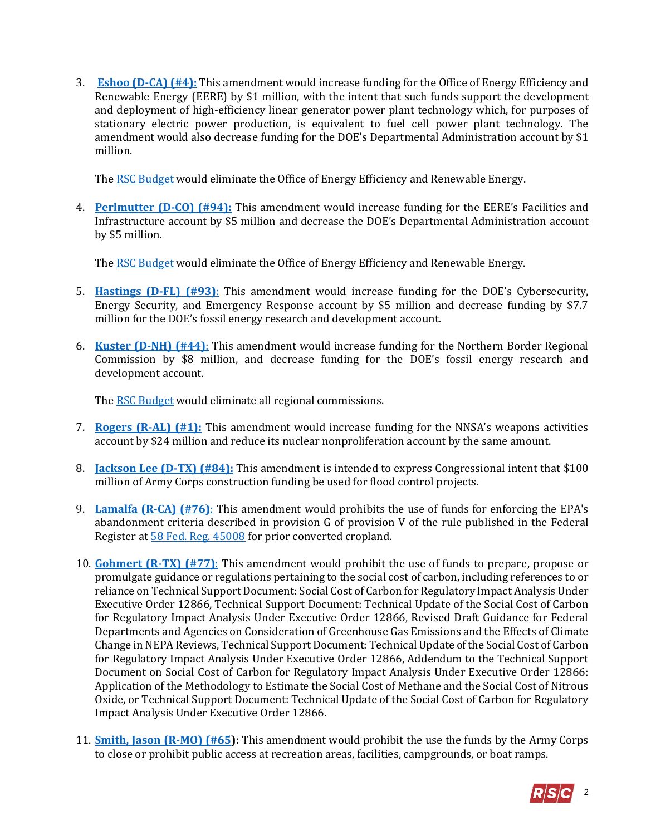3. **[Eshoo \(D-CA\) \(#4\):](https://amendments-rules.house.gov/amendments/ESHOO_028_xml529181615571557.pdf)** This amendment would increase funding for the Office of Energy Efficiency and Renewable Energy (EERE) by \$1 million, with the intent that such funds support the development and deployment of high-efficiency linear generator power plant technology which, for purposes of stationary electric power production, is equivalent to fuel cell power plant technology. The amendment would also decrease funding for the DOE's Departmental Administration account by \$1 million.

The RSC Budget would eliminate the Office of Energy Efficiency and Renewable Energy.

4. **[Perlmutter \(D-CO\) \(#94\):](https://amendments-rules.house.gov/amendments/PERLMU_031_xml64181521352135.pdf)** This amendment would increase funding for the EERE's Facilities and Infrastructure account by \$5 million and decrease the DOE's Departmental Administration account by \$5 million.

The RSC Budget would eliminate the Office of Energy Efficiency and Renewable Energy.

- 5. **[Hastings \(D-FL\) \(#93\)](https://amendments-rules.house.gov/amendments/HASTFL_047_xml6518120310310.pdf)**: This amendment would increase funding for the DOE's Cybersecurity, Energy Security, and Emergency Response account by \$5 million and decrease funding by \$7.7 million for the DOE's fossil energy research and development account.
- 6. **[Kuster \(D-NH\) \(#44\)](https://amendments-rules.house.gov/amendments/KUSTER_074_xml%20(002)53118134708478.pdf)**: This amendment would increase funding for the Northern Border Regional Commission by \$8 million, and decrease funding for the DOE's fossil energy research and development account.

Th[e RSC Budget](https://rsc-walker.house.gov/sites/republicanstudycommittee.house.gov/files/wysiwyg_uploaded/RSC%20Budget%20FY2019%20-%20Narrative%20-%20FINAL.PDF) would eliminate all regional commissions.

- 7. **[Rogers \(R-AL\) \(#1\):](https://amendments-rules.house.gov/amendments/RCP11571_001_xml529181410141014.pdf)** This amendment would increase funding for the NNSA's weapons activities account by \$24 million and reduce its nuclear nonproliferation account by the same amount.
- 8. **[Jackson Lee \(D-TX\) \(#84\):](https://amendments-rules.house.gov/amendments/JACKSO_288_xml531181613551355.pdf)** This amendment is intended to express Congressional intent that \$100 million of Army Corps construction funding be used for flood control projects.
- 9. **[Lamalfa \(R-CA\) \(#76\)](https://amendments-rules.house.gov/amendments/LAMALF_046_xml530181550205020.pdf)**: This amendment would prohibits the use of funds for enforcing the EPA's abandonment criteria described in provision G of provision V of the rule published in the Federal Register at [58 Fed. Reg. 45008](https://nepis.epa.gov/Exe/ZyNET.exe/200054D3.TXT?ZyActionD=ZyDocument&Client=EPA&Index=1991+Thru+1994&Docs=&Query=&Time=&EndTime=&SearchMethod=1&TocRestrict=n&Toc=&TocEntry=&QField=&QFieldYear=&QFieldMonth=&QFieldDay=&IntQFieldOp=0&ExtQFieldOp=0&X) for prior converted cropland.
- 10. **[Gohmert \(R-TX\) \(#77\)](https://amendments-rules.house.gov/amendments/Social%20Costs%20of%20Carbon_EW_Approps531181230213021.pdf)**: This amendment would prohibit the use of funds to prepare, propose or promulgate guidance or regulations pertaining to the social cost of carbon, including references to or reliance on Technical Support Document: Social Cost of Carbon for Regulatory Impact Analysis Under Executive Order 12866, Technical Support Document: Technical Update of the Social Cost of Carbon for Regulatory Impact Analysis Under Executive Order 12866, Revised Draft Guidance for Federal Departments and Agencies on Consideration of Greenhouse Gas Emissions and the Effects of Climate Change in NEPA Reviews, Technical Support Document: Technical Update of the Social Cost of Carbon for Regulatory Impact Analysis Under Executive Order 12866, Addendum to the Technical Support Document on Social Cost of Carbon for Regulatory Impact Analysis Under Executive Order 12866: Application of the Methodology to Estimate the Social Cost of Methane and the Social Cost of Nitrous Oxide, or Technical Support Document: Technical Update of the Social Cost of Carbon for Regulatory Impact Analysis Under Executive Order 12866.
- 11. **[Smith, Jason \(R-MO\) \(#65\)](https://amendments-rules.house.gov/amendments/SMITMO_061_xml66181456455645.pdf):** This amendment would prohibit the use the funds by the Army Corps to close or prohibit public access at recreation areas, facilities, campgrounds, or boat ramps.

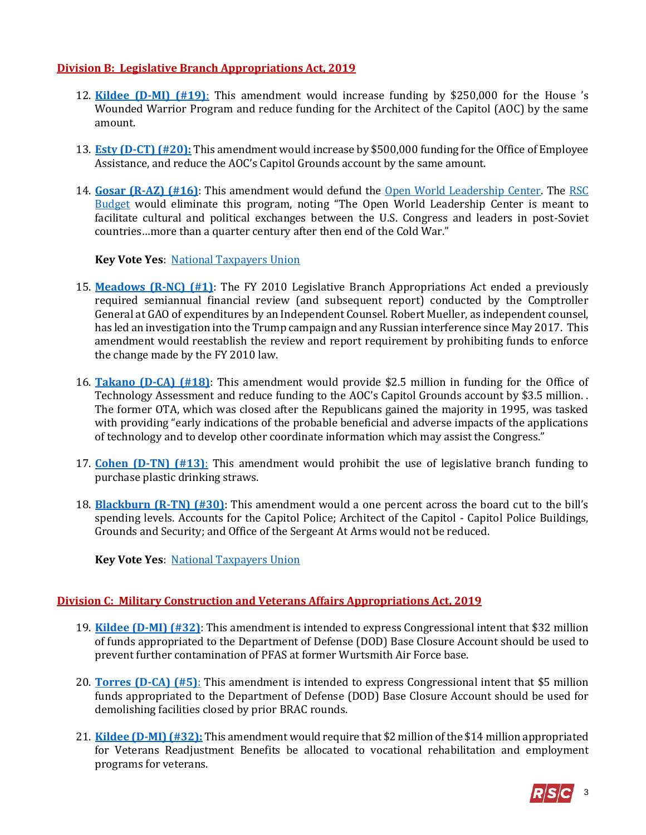#### **Division B: Legislative Branch Appropriations Act, 2019**

- 12. **[Kildee \(D-MI\) \(#19\)](https://amendments-rules.house.gov/amendments/K3530180923522352.pdf)**: This amendment would increase funding by \$250,000 for the House 's Wounded Warrior Program and reduce funding for the Architect of the Capitol (AOC) by the same amount.
- 13. **[Esty \(D-CT\) \(#20\):](https://amendments-rules.house.gov/amendments/ESTY_075_xml%200036418105509559.pdf)** This amendment would increase by \$500,000 funding for the Office of Employee Assistance, and reduce the AOC's Capitol Grounds account by the same amount.
- 14. **[Gosar \(R-AZ\) \(#16\)](https://amendments-rules.house.gov/amendments/Open%20World%20Trust%20Fund530180943314331.pdf)**: This amendment would defund the [Open World Leadership Center.](https://www.openworld.gov/) The [RSC](https://rsc-walker.house.gov/sites/republicanstudycommittee.house.gov/files/wysiwyg_uploaded/RSC%20Budget%20FY2019%20-%20Narrative%20-%20FINAL.PDF#page-139)  [Budget](https://rsc-walker.house.gov/sites/republicanstudycommittee.house.gov/files/wysiwyg_uploaded/RSC%20Budget%20FY2019%20-%20Narrative%20-%20FINAL.PDF#page-139) would eliminate this program, noting "The Open World Leadership Center is meant to facilitate cultural and political exchanges between the U.S. Congress and leaders in post-Soviet countries…more than a quarter century after then end of the Cold War."

**Key Vote Yes: [National Taxpayers Union](https://www.ntu.org/governmentbytes/detail/taxpayers-could-save-big-with-smart-amendments-to-appropriations-minibus)** 

- 15. **[Meadows \(R-NC\) \(#1\)](https://amendments-rules.house.gov/amendments/MEADOW_140_xml531181721222122.pdf)**: The FY 2010 Legislative Branch Appropriations Act ended a previously required semiannual financial review (and subsequent report) conducted by the Comptroller General at GAO of expenditures by an Independent Counsel. Robert Mueller, as independent counsel, has led an investigation into the Trump campaign and any Russian interference since May 2017. This amendment would reestablish the review and report requirement by prohibiting funds to enforce the change made by the FY 2010 law.
- 16. **[Takano \(D-CA\) \(#18\)](https://amendments-rules.house.gov/amendments/TAKANO_061530180942394239.pdf)**: This amendment would provide \$2.5 million in funding for the Office of Technology Assessment and reduce funding to the AOC's Capitol Grounds account by \$3.5 million. . The former OTA, which was closed after the Republicans gained the majority in 1995, was tasked with providing "early indications of the probable beneficial and adverse impacts of the applications of technology and to develop other coordinate information which may assist the Congress."
- 17. **[Cohen \(D-TN\) \(#13\)](https://amendments-rules.house.gov/amendments/COHEN_124_xml5291817020626.pdf)**: This amendment would prohibit the use of legislative branch funding to purchase plastic drinking straws.
- 18. **[Blackburn \(R-TN\) \(#30\)](https://amendments-rules.house.gov/amendments/BLACKB_029_xml531181426492649.pdf)**: This amendment would a one percent across the board cut to the bill's spending levels. Accounts for the Capitol Police; Architect of the Capitol - Capitol Police Buildings, Grounds and Security; and Office of the Sergeant At Arms would not be reduced.

**Key Vote Yes: [National Taxpayers Union](https://www.ntu.org/governmentbytes/detail/taxpayers-could-save-big-with-smart-amendments-to-appropriations-minibus)** 

### **Division C: Military Construction and Veterans Affairs Appropriations Act, 2019**

- 19. **[Kildee \(D-MI\) \(#32\)](https://amendments-rules.house.gov/amendments/K4530180928592859.pdf)**: This amendment is intended to express Congressional intent that \$32 million of funds appropriated to the Department of Defense (DOD) Base Closure Account should be used to prevent further contamination of PFAS at former Wurtsmith Air Force base.
- 20. **[Torres \(D-CA\) \(#5\)](https://amendments-rules.house.gov/amendments/TORRCA_105_xml529181549294929.pdf)**: This amendment is intended to express Congressional intent that \$5 million funds appropriated to the Department of Defense (DOD) Base Closure Account should be used for demolishing facilities closed by prior BRAC rounds.
- 21. **[Kildee \(D-MI\) \(#32\):](https://amendments-rules.house.gov/amendments/DKVA1530180943164316.pdf)** This amendment would require that \$2 million of the \$14 million appropriated for Veterans Readjustment Benefits be allocated to vocational rehabilitation and employment programs for veterans.

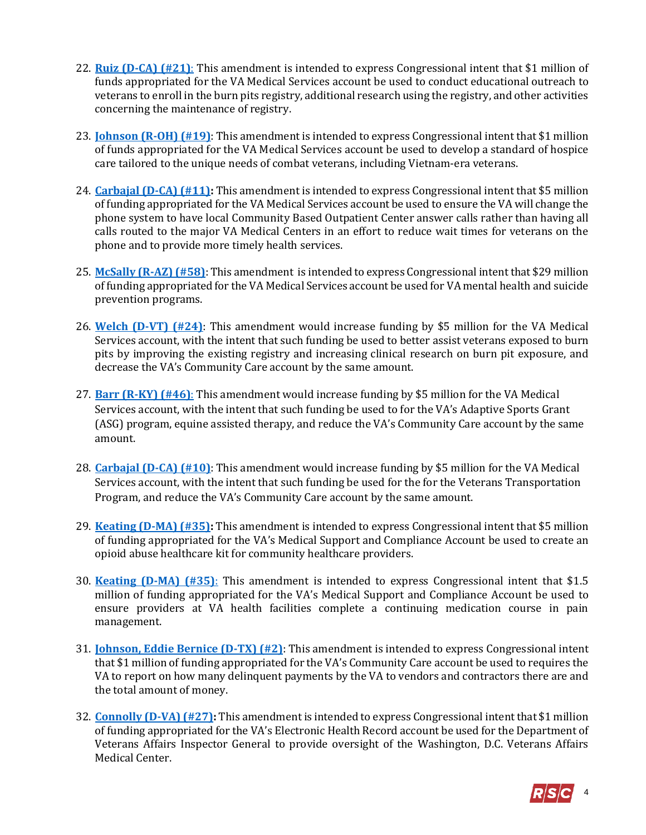- 22. **[Ruiz \(D-CA\) \(#21\)](https://amendments-rules.house.gov/amendments/RUIZCA_071_xml%20(004)530180919571957.pdf)**: This amendment is intended to express Congressional intent that \$1 million of funds appropriated for the VA Medical Services account be used to conduct educational outreach to veterans to enroll in the burn pits registry, additional research using the registry, and other activities concerning the maintenance of registry.
- 23. **[Johnson \(R-OH\) \(#19\)](https://amendments-rules.house.gov/amendments/JOHNOH_021_xml%20(4)530180929542954.pdf)**: This amendment is intended to express Congressional intent that \$1 million of funds appropriated for the VA Medical Services account be used to develop a standard of hospice care tailored to the unique needs of combat veterans, including Vietnam-era veterans.
- 24. **[Carbajal \(D-CA\) \(#11\):](https://amendments-rules.house.gov/amendments/CARBAJ_053_xml529181623352335.pdf)** This amendment is intended to express Congressional intent that \$5 million of funding appropriated for the VA Medical Services account be used to ensure the VA will change the phone system to have local Community Based Outpatient Center answer calls rather than having all calls routed to the major VA Medical Centers in an effort to reduce wait times for veterans on the phone and to provide more timely health services.
- 25. **[McSally \(R-AZ\) \(#58\)](https://amendments-rules.house.gov/amendments/Revised%20MCSALL_100_xml%20(suicide%20prev)66181157585758.pdf)**: This amendment is intended to express Congressional intent that \$29 million of funding appropriated for the VA Medical Services account be used for VA mental health and suicide prevention programs.
- 26. **[Welch \(D-VT\) \(#24\)](https://amendments-rules.house.gov/amendments/WELCH_086_v265181134203420.pdf)**: This amendment would increase funding by \$5 million for the VA Medical Services account, with the intent that such funding be used to better assist veterans exposed to burn pits by improving the existing registry and increasing clinical research on burn pit exposure, and decrease the VA's Community Care account by the same amount.
- 27. **[Barr \(R-KY\) \(#46\)](https://amendments-rules.house.gov/amendments/BARR_057_xml_Revised66181238143814.pdf)**: This amendment would increase funding by \$5 million for the VA Medical Services account, with the intent that such funding be used to for the VA's Adaptive Sports Grant (ASG) program, equine assisted therapy, and reduce the VA's Community Care account by the same amount.
- 28. **[Carbajal \(D-CA\) \(#10\)](https://amendments-rules.house.gov/amendments/CARBAJ_052_xml61181212561256.pdf)**: This amendment would increase funding by \$5 million for the VA Medical Services account, with the intent that such funding be used for the for the Veterans Transportation Program, and reduce the VA's Community Care account by the same amount.
- 29. **[Keating \(D-MA\) \(#35\):](https://amendments-rules.house.gov/amendments/KEATIN_086_xml%20(003)53118114203423.pdf)** This amendment is intended to express Congressional intent that \$5 million of funding appropriated for the VA's Medical Support and Compliance Account be used to create an opioid abuse healthcare kit for community healthcare providers.
- 30. **[Keating \(D-MA\) \(#35\)](https://amendments-rules.house.gov/amendments/KEATIN_085_xml530180918401840.pdf)**: This amendment is intended to express Congressional intent that \$1.5 million of funding appropriated for the VA's Medical Support and Compliance Account be used to ensure providers at VA health facilities complete a continuing medication course in pain management.
- 31. **[Johnson, Eddie Bernice \(D-TX\) \(#2\)](https://amendments-rules.house.gov/amendments/JOHNTE_034_xml529181510151015.pdf)**: This amendment is intended to express Congressional intent that \$1 million of funding appropriated for the VA's Community Care account be used to requires the VA to report on how many delinquent payments by the VA to vendors and contractors there are and the total amount of money.
- 32. **[Connolly \(D-VA\) \(#27\):](https://amendments-rules.house.gov/amendments/CONNOL_078_xml53018093100310.pdf)** This amendment is intended to express Congressional intent that \$1 million of funding appropriated for the VA's Electronic Health Record account be used for the Department of Veterans Affairs Inspector General to provide oversight of the Washington, D.C. Veterans Affairs Medical Center.